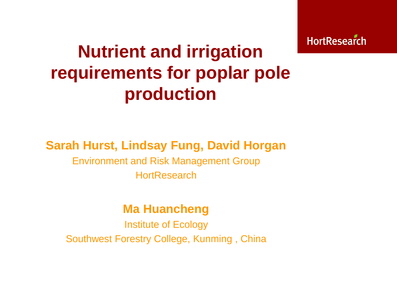**HortResearch** 

# **Nutrient and irrigation requirements for poplar pole production**

#### **Sarah Hurst, Lindsay Fung, David Horgan**

Environment and Risk Management Group **HortResearch** 

#### **Ma Huancheng**

Institute of Ecology Southwest Forestry College, Kunming , China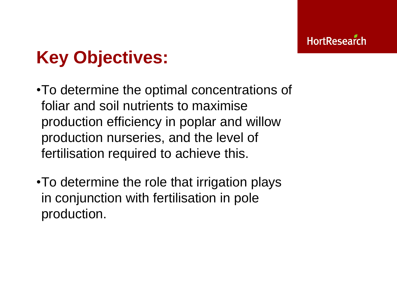# **Key Objectives:**

- •To determine the optimal concentrations of foliar and soil nutrients to maximise production efficiency in poplar and willow production nurseries, and the level of fertilisation required to achieve this.
- •To determine the role that irrigation plays in conjunction with fertilisation in pole production.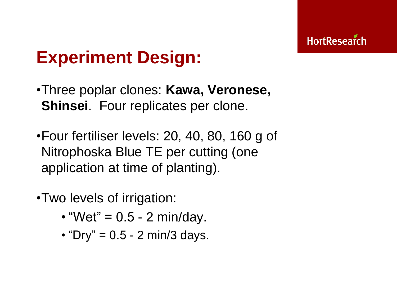## **Experiment Design:**

- •Three poplar clones: **Kawa, Veronese, Shinsei**. Four replicates per clone.
- •Four fertiliser levels: 20, 40, 80, 160 g of Nitrophoska Blue TE per cutting (one application at time of planting).
- •Two levels of irrigation:
	- "Wet" =  $0.5 2$  min/day.
	- "Dry" =  $0.5$  2 min/3 days.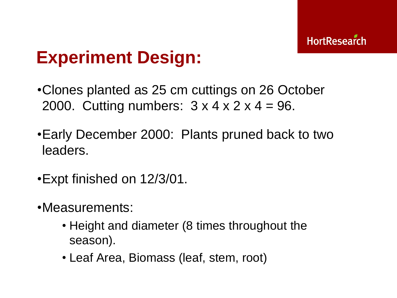## **Experiment Design:**

- •Clones planted as 25 cm cuttings on 26 October 2000. Cutting numbers:  $3 \times 4 \times 2 \times 4 = 96$ .
- •Early December 2000: Plants pruned back to two leaders.
- •Expt finished on 12/3/01.
- •Measurements:
	- Height and diameter (8 times throughout the season).
	- Leaf Area, Biomass (leaf, stem, root)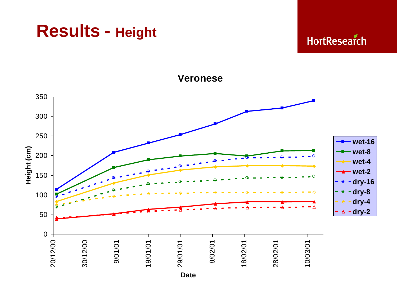### **Results - Height**

**HortResearch** 

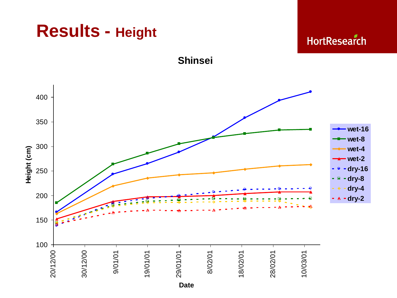

**HortResearch** 



**Shinsei**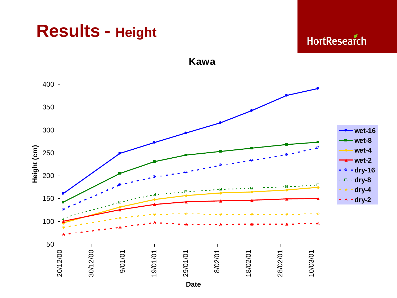## **Results - Height**

**HortResearch** 

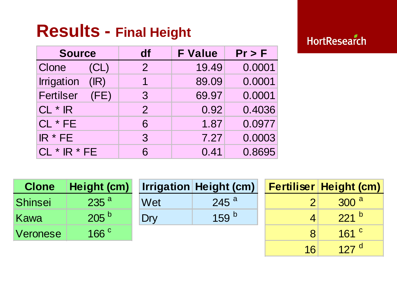## **Results - Final Height**

### **HortResearch**

16 127<sup>d</sup>

| <b>Source</b>             | df             | <b>F Value</b> | $Pr$ > F |
|---------------------------|----------------|----------------|----------|
| Clone<br>(CL)             | $\overline{2}$ | 19.49          | 0.0001   |
| <b>Irrigation</b><br>(IR) | 1              | 89.09          | 0.0001   |
| <b>Fertilser</b><br>(FE)  | 3              | 69.97          | 0.0001   |
| $CL * IR$                 | $\overline{2}$ | 0.92           | 0.4036   |
| CL * FE                   | 6              | 1.87           | 0.0977   |
| IR * FE                   | 3              | 7.27           | 0.0003   |
| $CL * IR * FE$            | 6              | 0.41           | 0.8695   |

| <b>Clone</b> | Height (cm)      |     | <b>Irrigation Height (cm)</b> |  | <b>Fertiliser Height (cm)</b> |
|--------------|------------------|-----|-------------------------------|--|-------------------------------|
| Shinsei      | 235 <sup>a</sup> | Wet | $245$ <sup>a</sup>            |  | 300 <sup>a</sup>              |
| Kawa         | 205 <sup>b</sup> | Drv | 159 $b$                       |  | $221^{b}$                     |
| Veronese     | 166 <sup>c</sup> |     |                               |  | $161$ $\degree$               |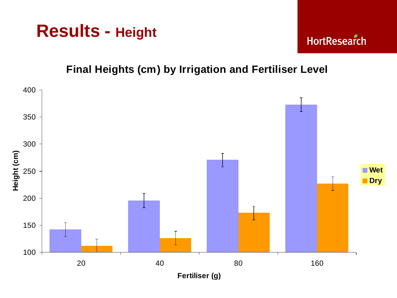



#### **Final Heights (cm) by Irrigation and Fertiliser Level**